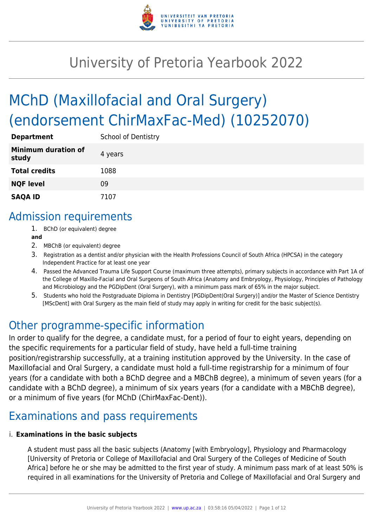

# University of Pretoria Yearbook 2022

# MChD (Maxillofacial and Oral Surgery) (endorsement ChirMaxFac-Med) (10252070)

| <b>Department</b>                   | <b>School of Dentistry</b> |
|-------------------------------------|----------------------------|
| <b>Minimum duration of</b><br>study | 4 years                    |
| <b>Total credits</b>                | 1088                       |
| <b>NQF level</b>                    | 09                         |
| <b>SAQA ID</b>                      | 7107                       |

### Admission requirements

- 1. BChD (or equivalent) degree
- **and**
- 2. MBChB (or equivalent) degree
- 3. Registration as a dentist and/or physician with the Health Professions Council of South Africa (HPCSA) in the category Independent Practice for at least one year
- 4. Passed the Advanced Trauma Life Support Course (maximum three attempts), primary subjects in accordance with Part 1A of the College of Maxillo-Facial and Oral Surgeons of South Africa (Anatomy and Embryology, Physiology, Principles of Pathology and Microbiology and the PGDipDent (Oral Surgery), with a minimum pass mark of 65% in the major subject.
- 5. Students who hold the Postgraduate Diploma in Dentistry [PGDipDent(Oral Surgery)] and/or the Master of Science Dentistry [MScDent] with Oral Surgery as the main field of study may apply in writing for credit for the basic subject(s).

### Other programme-specific information

In order to qualify for the degree, a candidate must, for a period of four to eight years, depending on the specific requirements for a particular field of study, have held a full-time training position/registrarship successfully, at a training institution approved by the University. In the case of Maxillofacial and Oral Surgery, a candidate must hold a full-time registrarship for a minimum of four years (for a candidate with both a BChD degree and a MBChB degree), a minimum of seven years (for a candidate with a BChD degree), a minimum of six years years (for a candidate with a MBChB degree), or a minimum of five years (for MChD (ChirMaxFac-Dent)).

## Examinations and pass requirements

#### i. **Examinations in the basic subjects**

A student must pass all the basic subjects (Anatomy [with Embryology], Physiology and Pharmacology [University of Pretoria or College of Maxillofacial and Oral Surgery of the Colleges of Medicine of South Africa] before he or she may be admitted to the first year of study. A minimum pass mark of at least 50% is required in all examinations for the University of Pretoria and College of Maxillofacial and Oral Surgery and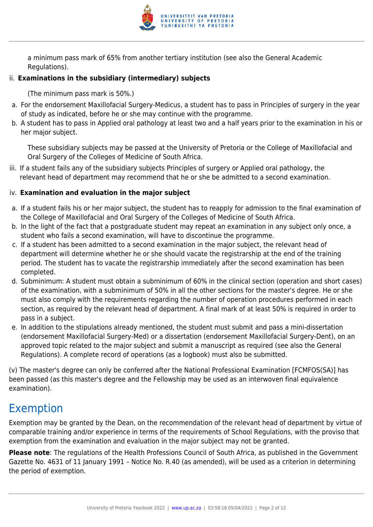

a minimum pass mark of 65% from another tertiary institution (see also the General Academic Regulations).

#### ii. **Examinations in the subsidiary (intermediary) subjects**

(The minimum pass mark is 50%.)

- a. For the endorsement Maxillofacial Surgery-Medicus, a student has to pass in Principles of surgery in the year of study as indicated, before he or she may continue with the programme.
- b. A student has to pass in Applied oral pathology at least two and a half years prior to the examination in his or her major subject.

These subsidiary subjects may be passed at the University of Pretoria or the College of Maxillofacial and Oral Surgery of the Colleges of Medicine of South Africa.

iii. If a student fails any of the subsidiary subjects Principles of surgery or Applied oral pathology, the relevant head of department may recommend that he or she be admitted to a second examination.

#### iv. **Examination and evaluation in the major subject**

- a. If a student fails his or her major subject, the student has to reapply for admission to the final examination of the College of Maxillofacial and Oral Surgery of the Colleges of Medicine of South Africa.
- b. In the light of the fact that a postgraduate student may repeat an examination in any subject only once, a student who fails a second examination, will have to discontinue the programme.
- c. If a student has been admitted to a second examination in the major subject, the relevant head of department will determine whether he or she should vacate the registrarship at the end of the training period. The student has to vacate the registrarship immediately after the second examination has been completed.
- d. Subminimum: A student must obtain a subminimum of 60% in the clinical section (operation and short cases) of the examination, with a subminimum of 50% in all the other sections for the master's degree. He or she must also comply with the requirements regarding the number of operation procedures performed in each section, as required by the relevant head of department. A final mark of at least 50% is required in order to pass in a subject.
- e. In addition to the stipulations already mentioned, the student must submit and pass a mini-dissertation (endorsement Maxillofacial Surgery-Med) or a dissertation (endorsement Maxillofacial Surgery-Dent), on an approved topic related to the major subject and submit a manuscript as required (see also the General Regulations). A complete record of operations (as a logbook) must also be submitted.

(v) The master's degree can only be conferred after the National Professional Examination [FCMFOS(SA)] has been passed (as this master's degree and the Fellowship may be used as an interwoven final equivalence examination).

### Exemption

Exemption may be granted by the Dean, on the recommendation of the relevant head of department by virtue of comparable training and/or experience in terms of the requirements of School Regulations, with the proviso that exemption from the examination and evaluation in the major subject may not be granted.

**Please note**: The regulations of the Health Professions Council of South Africa, as published in the Government Gazette No. 4631 of 11 January 1991 – Notice No. R.40 (as amended), will be used as a criterion in determining the period of exemption.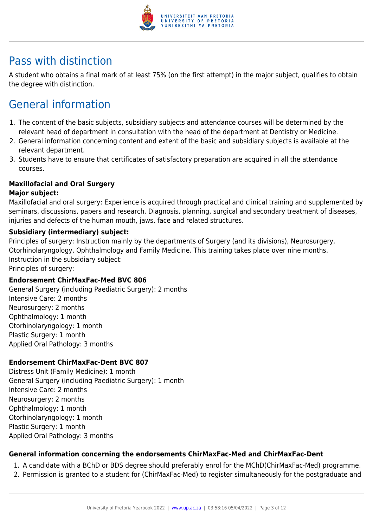

### Pass with distinction

A student who obtains a final mark of at least 75% (on the first attempt) in the major subject, qualifies to obtain the degree with distinction.

# General information

- 1. The content of the basic subjects, subsidiary subjects and attendance courses will be determined by the relevant head of department in consultation with the head of the department at Dentistry or Medicine.
- 2. General information concerning content and extent of the basic and subsidiary subjects is available at the relevant department.
- 3. Students have to ensure that certificates of satisfactory preparation are acquired in all the attendance courses.

#### **Maxillofacial and Oral Surgery**

#### **Major subject:**

Maxillofacial and oral surgery: Experience is acquired through practical and clinical training and supplemented by seminars, discussions, papers and research. Diagnosis, planning, surgical and secondary treatment of diseases, injuries and defects of the human mouth, jaws, face and related structures.

#### **Subsidiary (intermediary) subject:**

Principles of surgery: Instruction mainly by the departments of Surgery (and its divisions), Neurosurgery, Otorhinolaryngology, Ophthalmology and Family Medicine. This training takes place over nine months. Instruction in the subsidiary subject:

Principles of surgery:

#### **Endorsement ChirMaxFac-Med BVC 806**

General Surgery (including Paediatric Surgery): 2 months Intensive Care: 2 months Neurosurgery: 2 months Ophthalmology: 1 month Otorhinolaryngology: 1 month Plastic Surgery: 1 month Applied Oral Pathology: 3 months

#### **Endorsement ChirMaxFac-Dent BVC 807**

Distress Unit (Family Medicine): 1 month General Surgery (including Paediatric Surgery): 1 month Intensive Care: 2 months Neurosurgery: 2 months Ophthalmology: 1 month Otorhinolaryngology: 1 month Plastic Surgery: 1 month Applied Oral Pathology: 3 months

#### **General information concerning the endorsements ChirMaxFac-Med and ChirMaxFac-Dent**

- 1. A candidate with a BChD or BDS degree should preferably enrol for the MChD(ChirMaxFac-Med) programme.
- 2. Permission is granted to a student for (ChirMaxFac-Med) to register simultaneously for the postgraduate and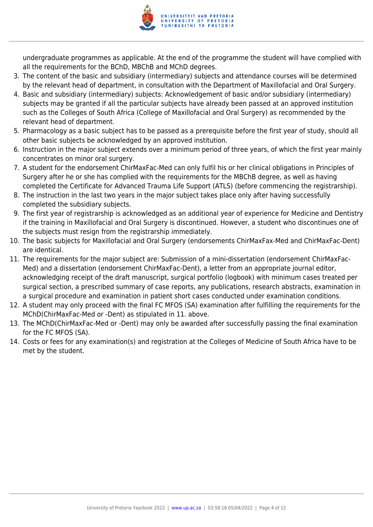

undergraduate programmes as applicable. At the end of the programme the student will have complied with all the requirements for the BChD, MBChB and MChD degrees.

- 3. The content of the basic and subsidiary (intermediary) subjects and attendance courses will be determined by the relevant head of department, in consultation with the Department of Maxillofacial and Oral Surgery.
- 4. Basic and subsidiary (intermediary) subjects: Acknowledgement of basic and/or subsidiary (intermediary) subjects may be granted if all the particular subjects have already been passed at an approved institution such as the Colleges of South Africa (College of Maxillofacial and Oral Surgery) as recommended by the relevant head of department.
- 5. Pharmacology as a basic subject has to be passed as a prerequisite before the first year of study, should all other basic subjects be acknowledged by an approved institution.
- 6. Instruction in the major subject extends over a minimum period of three years, of which the first year mainly concentrates on minor oral surgery.
- 7. A student for the endorsement ChirMaxFac-Med can only fulfil his or her clinical obligations in Principles of Surgery after he or she has complied with the requirements for the MBChB degree, as well as having completed the Certificate for Advanced Trauma Life Support (ATLS) (before commencing the registrarship).
- 8. The instruction in the last two years in the major subject takes place only after having successfully completed the subsidiary subjects.
- 9. The first year of registrarship is acknowledged as an additional year of experience for Medicine and Dentistry if the training in Maxillofacial and Oral Surgery is discontinued. However, a student who discontinues one of the subjects must resign from the registrarship immediately.
- 10. The basic subjects for Maxillofacial and Oral Surgery (endorsements ChirMaxFax-Med and ChirMaxFac-Dent) are identical.
- 11. The requirements for the major subject are: Submission of a mini-dissertation (endorsement ChirMaxFac-Med) and a dissertation (endorsement ChirMaxFac-Dent), a letter from an appropriate journal editor, acknowledging receipt of the draft manuscript, surgical portfolio (logbook) with minimum cases treated per surgical section, a prescribed summary of case reports, any publications, research abstracts, examination in a surgical procedure and examination in patient short cases conducted under examination conditions.
- 12. A student may only proceed with the final FC MFOS (SA) examination after fulfilling the requirements for the MChD(ChirMaxFac-Med or -Dent) as stipulated in 11. above.
- 13. The MChD(ChirMaxFac-Med or -Dent) may only be awarded after successfully passing the final examination for the FC MFOS (SA).
- 14. Costs or fees for any examination(s) and registration at the Colleges of Medicine of South Africa have to be met by the student.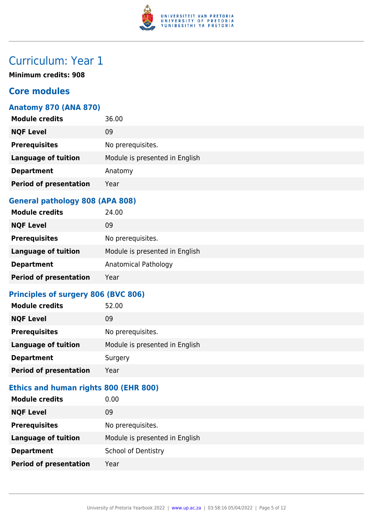

# Curriculum: Year 1

**Minimum credits: 908**

#### **Core modules**

#### **Anatomy 870 (ANA 870)**

| <b>Module credits</b>         | 36.00                          |
|-------------------------------|--------------------------------|
| <b>NQF Level</b>              | 09                             |
| <b>Prerequisites</b>          | No prerequisites.              |
| <b>Language of tuition</b>    | Module is presented in English |
| <b>Department</b>             | Anatomy                        |
| <b>Period of presentation</b> | Year                           |
|                               |                                |

#### **General pathology 808 (APA 808)**

| <b>Module credits</b>         | 24.00                          |
|-------------------------------|--------------------------------|
| <b>NQF Level</b>              | 09                             |
| <b>Prerequisites</b>          | No prerequisites.              |
| <b>Language of tuition</b>    | Module is presented in English |
| <b>Department</b>             | Anatomical Pathology           |
| <b>Period of presentation</b> | Year                           |

#### **Principles of surgery 806 (BVC 806)**

| <b>Module credits</b>         | 52.00                          |
|-------------------------------|--------------------------------|
| <b>NQF Level</b>              | 09                             |
| <b>Prerequisites</b>          | No prerequisites.              |
| <b>Language of tuition</b>    | Module is presented in English |
| <b>Department</b>             | Surgery                        |
| <b>Period of presentation</b> | Year                           |

#### **Ethics and human rights 800 (EHR 800)**

| <b>Module credits</b>         | 0.00                           |
|-------------------------------|--------------------------------|
| <b>NQF Level</b>              | 09                             |
| <b>Prerequisites</b>          | No prerequisites.              |
| <b>Language of tuition</b>    | Module is presented in English |
| <b>Department</b>             | <b>School of Dentistry</b>     |
| <b>Period of presentation</b> | Year                           |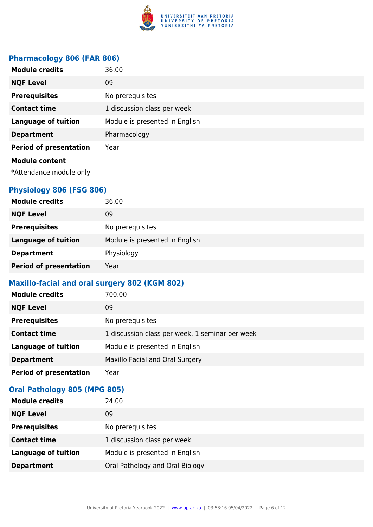

#### **Pharmacology 806 (FAR 806)**

| <b>Module credits</b>         | 36.00                          |
|-------------------------------|--------------------------------|
| <b>NQF Level</b>              | 09                             |
| <b>Prerequisites</b>          | No prerequisites.              |
| <b>Contact time</b>           | 1 discussion class per week    |
| <b>Language of tuition</b>    | Module is presented in English |
| <b>Department</b>             | Pharmacology                   |
| <b>Period of presentation</b> | Year                           |
| <b>Module content</b>         |                                |
| *Attendance module only       |                                |

#### **Physiology 806 (FSG 806)**

| <b>Module credits</b>         | 36.00                          |
|-------------------------------|--------------------------------|
| <b>NQF Level</b>              | 09                             |
| <b>Prerequisites</b>          | No prerequisites.              |
| <b>Language of tuition</b>    | Module is presented in English |
| <b>Department</b>             | Physiology                     |
| <b>Period of presentation</b> | Year                           |

#### **Maxillo-facial and oral surgery 802 (KGM 802)**

| <b>Module credits</b>         | 700.00                                          |
|-------------------------------|-------------------------------------------------|
| <b>NQF Level</b>              | 09                                              |
| <b>Prerequisites</b>          | No prerequisites.                               |
| <b>Contact time</b>           | 1 discussion class per week, 1 seminar per week |
| <b>Language of tuition</b>    | Module is presented in English                  |
| <b>Department</b>             | Maxillo Facial and Oral Surgery                 |
| <b>Period of presentation</b> | Year                                            |

#### **Oral Pathology 805 (MPG 805)**

| <b>Module credits</b>      | 24.00                           |
|----------------------------|---------------------------------|
| <b>NQF Level</b>           | 09                              |
| <b>Prerequisites</b>       | No prerequisites.               |
| <b>Contact time</b>        | 1 discussion class per week     |
| <b>Language of tuition</b> | Module is presented in English  |
| <b>Department</b>          | Oral Pathology and Oral Biology |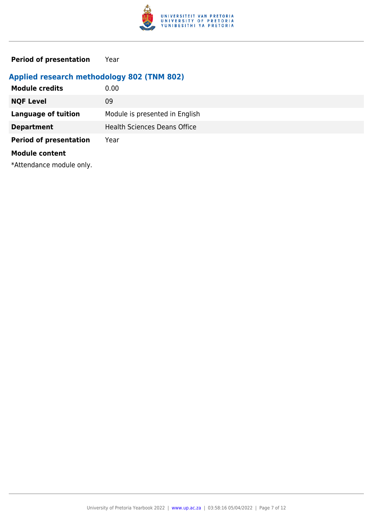

**Period of presentation** Year

#### **Applied research methodology 802 (TNM 802)**

| <b>Module credits</b>         | 0.00                                |
|-------------------------------|-------------------------------------|
| <b>NQF Level</b>              | 09                                  |
| <b>Language of tuition</b>    | Module is presented in English      |
| <b>Department</b>             | <b>Health Sciences Deans Office</b> |
| <b>Period of presentation</b> | Year                                |
| <b>Module content</b>         |                                     |

\*Attendance module only.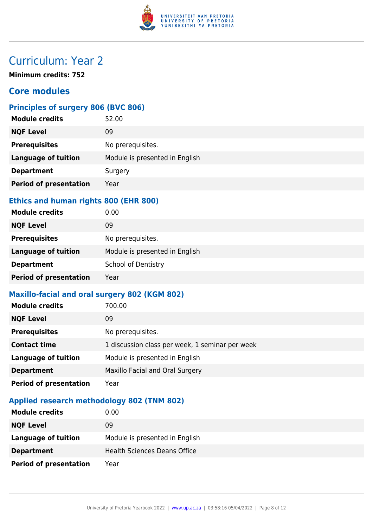

# Curriculum: Year 2

**Minimum credits: 752**

#### **Core modules**

#### **Principles of surgery 806 (BVC 806)**

| <b>Module credits</b>         | 52.00                          |
|-------------------------------|--------------------------------|
| <b>NQF Level</b>              | 09                             |
| <b>Prerequisites</b>          | No prerequisites.              |
| <b>Language of tuition</b>    | Module is presented in English |
| <b>Department</b>             | Surgery                        |
| <b>Period of presentation</b> | Year                           |
|                               |                                |

#### **Ethics and human rights 800 (EHR 800)**

| <b>Module credits</b>         | 0.00                           |
|-------------------------------|--------------------------------|
| <b>NQF Level</b>              | 09                             |
| <b>Prerequisites</b>          | No prerequisites.              |
| <b>Language of tuition</b>    | Module is presented in English |
| <b>Department</b>             | <b>School of Dentistry</b>     |
| <b>Period of presentation</b> | Year                           |

#### **Maxillo-facial and oral surgery 802 (KGM 802)**

| <b>Module credits</b>         | 700.00                                          |
|-------------------------------|-------------------------------------------------|
| <b>NQF Level</b>              | 09                                              |
| <b>Prerequisites</b>          | No prerequisites.                               |
| <b>Contact time</b>           | 1 discussion class per week, 1 seminar per week |
| <b>Language of tuition</b>    | Module is presented in English                  |
| <b>Department</b>             | Maxillo Facial and Oral Surgery                 |
| <b>Period of presentation</b> | Year                                            |

#### **Applied research methodology 802 (TNM 802)**

| <b>Module credits</b>         | 0.00                                |
|-------------------------------|-------------------------------------|
| <b>NQF Level</b>              | 09                                  |
| Language of tuition           | Module is presented in English      |
| <b>Department</b>             | <b>Health Sciences Deans Office</b> |
| <b>Period of presentation</b> | Year                                |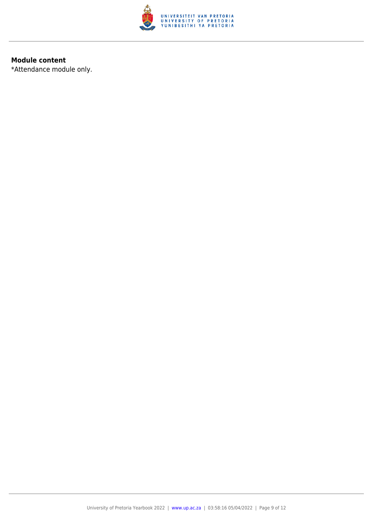

#### **Module content**

\*Attendance module only.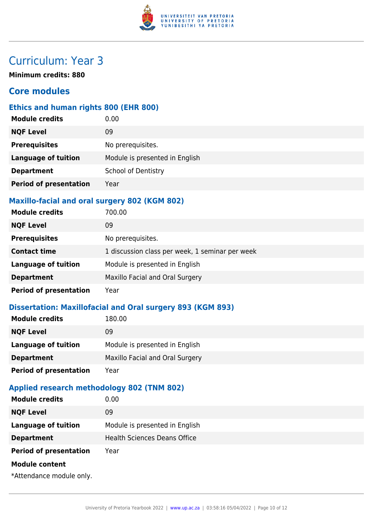

# Curriculum: Year 3

**Minimum credits: 880**

#### **Core modules**

#### **Ethics and human rights 800 (EHR 800)**

| <b>Module credits</b>         | 0.00                           |
|-------------------------------|--------------------------------|
| <b>NQF Level</b>              | 09                             |
| <b>Prerequisites</b>          | No prerequisites.              |
| <b>Language of tuition</b>    | Module is presented in English |
| <b>Department</b>             | <b>School of Dentistry</b>     |
| <b>Period of presentation</b> | Year                           |
|                               |                                |

#### **Maxillo-facial and oral surgery 802 (KGM 802)**

| <b>Module credits</b>         | 700.00                                          |
|-------------------------------|-------------------------------------------------|
| <b>NQF Level</b>              | 09                                              |
| <b>Prerequisites</b>          | No prerequisites.                               |
| <b>Contact time</b>           | 1 discussion class per week, 1 seminar per week |
| <b>Language of tuition</b>    | Module is presented in English                  |
| <b>Department</b>             | Maxillo Facial and Oral Surgery                 |
| <b>Period of presentation</b> | Year                                            |

#### **Dissertation: Maxillofacial and Oral surgery 893 (KGM 893)**

| <b>Module credits</b>         | 180.00                          |
|-------------------------------|---------------------------------|
| <b>NQF Level</b>              | 09                              |
| Language of tuition           | Module is presented in English  |
| <b>Department</b>             | Maxillo Facial and Oral Surgery |
| <b>Period of presentation</b> | Year                            |
|                               |                                 |

#### **Applied research methodology 802 (TNM 802)**

| <b>Module credits</b>         | 0.00                                |
|-------------------------------|-------------------------------------|
| <b>NQF Level</b>              | 09                                  |
| <b>Language of tuition</b>    | Module is presented in English      |
| <b>Department</b>             | <b>Health Sciences Deans Office</b> |
| <b>Period of presentation</b> | Year                                |
| <b>Module content</b>         |                                     |
| *Attendance module only.      |                                     |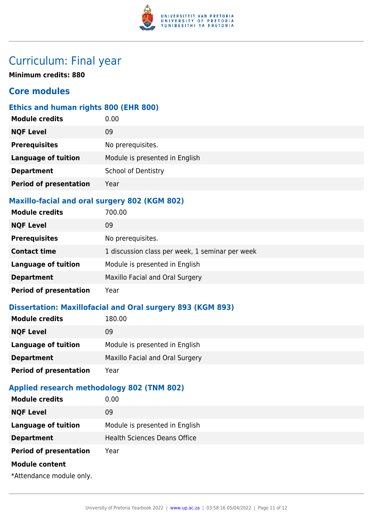

### Curriculum: Final year

**Minimum credits: 880**

#### **Core modules**

#### **Ethics and human rights 800 (EHR 800)**

| <b>Module credits</b>         | 0.00                           |
|-------------------------------|--------------------------------|
| <b>NQF Level</b>              | 09                             |
| <b>Prerequisites</b>          | No prerequisites.              |
| <b>Language of tuition</b>    | Module is presented in English |
| <b>Department</b>             | <b>School of Dentistry</b>     |
| <b>Period of presentation</b> | Year                           |
|                               |                                |

#### **Maxillo-facial and oral surgery 802 (KGM 802)**

| <b>Module credits</b>         | 700.00                                          |
|-------------------------------|-------------------------------------------------|
| <b>NQF Level</b>              | 09                                              |
| <b>Prerequisites</b>          | No prerequisites.                               |
| <b>Contact time</b>           | 1 discussion class per week, 1 seminar per week |
| <b>Language of tuition</b>    | Module is presented in English                  |
| <b>Department</b>             | Maxillo Facial and Oral Surgery                 |
| <b>Period of presentation</b> | Year                                            |

#### **Dissertation: Maxillofacial and Oral surgery 893 (KGM 893)**

| <b>Module credits</b>         | 180.00                          |
|-------------------------------|---------------------------------|
| <b>NQF Level</b>              | 09                              |
| Language of tuition           | Module is presented in English  |
| <b>Department</b>             | Maxillo Facial and Oral Surgery |
| <b>Period of presentation</b> | Year                            |
|                               |                                 |

#### **Applied research methodology 802 (TNM 802)**

| <b>Module credits</b>         | 0.00                                |
|-------------------------------|-------------------------------------|
| <b>NQF Level</b>              | 09                                  |
| <b>Language of tuition</b>    | Module is presented in English      |
| <b>Department</b>             | <b>Health Sciences Deans Office</b> |
| <b>Period of presentation</b> | Year                                |
| <b>Module content</b>         |                                     |
| *Attendance module only.      |                                     |